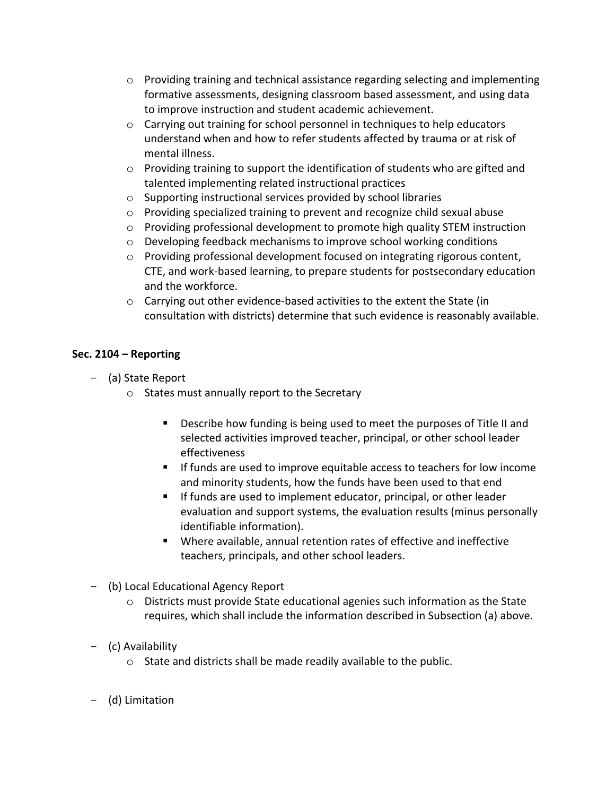- $\circ$  Providing training and technical assistance regarding selecting and implementing formative assessments, designing classroom based assessment, and using data to improve instruction and student academic achievement.
- $\circ$  Carrying out training for school personnel in techniques to help educators understand when and how to refer students affected by trauma or at risk of mental illness.
- $\circ$  Providing training to support the identification of students who are gifted and talented implementing related instructional practices
- $\circ$  Supporting instructional services provided by school libraries
- $\circ$  Providing specialized training to prevent and recognize child sexual abuse
- $\circ$  Providing professional development to promote high quality STEM instruction
- $\circ$  Developing feedback mechanisms to improve school working conditions
- $\circ$  Providing professional development focused on integrating rigorous content, CTE, and work-based learning, to prepare students for postsecondary education and the workforce.
- $\circ$  Carrying out other evidence-based activities to the extent the State (in consultation with districts) determine that such evidence is reasonably available.

# **Sec. 2104 – Reporting**

- (a) State Report
	- $\circ$  States must annually report to the Secretary
		- Describe how funding is being used to meet the purposes of Title II and selected activities improved teacher, principal, or other school leader effectiveness
		- **If funds are used to improve equitable access to teachers for low income** and minority students, how the funds have been used to that end
		- If funds are used to implement educator, principal, or other leader evaluation and support systems, the evaluation results (minus personally identifiable information).
		- Where available, annual retention rates of effective and ineffective teachers, principals, and other school leaders.
- (b) Local Educational Agency Report
	- $\circ$  Districts must provide State educational agenies such information as the State requires, which shall include the information described in Subsection (a) above.
- (c) Availability
	- $\circ$  State and districts shall be made readily available to the public.
- (d) Limitation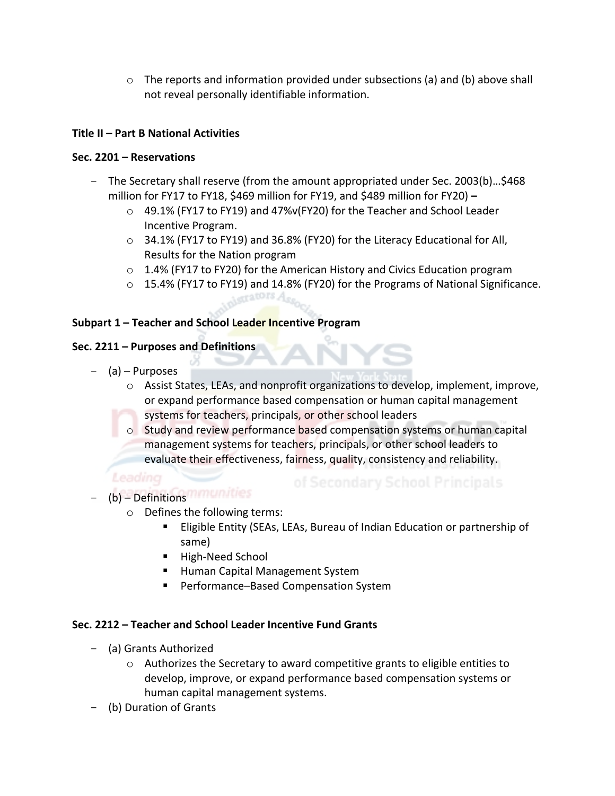$\circ$  The reports and information provided under subsections (a) and (b) above shall not reveal personally identifiable information.

# **Title II – Part B National Activities**

### **Sec. 2201 – Reservations**

- The Secretary shall reserve (from the amount appropriated under Sec. 2003(b)...\$468 million for FY17 to FY18, \$469 million for FY19, and \$489 million for FY20) –
	- $\circ$  49.1% (FY17 to FY19) and 47%v(FY20) for the Teacher and School Leader Incentive Program.
	- $\circ$  34.1% (FY17 to FY19) and 36.8% (FY20) for the Literacy Educational for All, Results for the Nation program
	- $\circ$  1.4% (FY17 to FY20) for the American History and Civics Education program
	- $\circ$  15.4% (FY17 to FY19) and 14.8% (FY20) for the Programs of National Significance.

#### **Subpart 1 – Teacher and School Leader Incentive Program**

#### **Sec. 2211 – Purposes and Definitions**

- $-$  (a)  $-$  Purposes
	- $\circ$  Assist States, LEAs, and nonprofit organizations to develop, implement, improve, or expand performance based compensation or human capital management
	- systems for teachers, principals, or other school leaders

 $-$ catOFS $A$ 

 $\circ$  Study and review performance based compensation systems or human capital management systems for teachers, principals, or other school leaders to evaluate their effectiveness, fairness, quality, consistency and reliability.

Leadincr

- (b) Definitions
	- $\circ$  Defines the following terms:
		- **Eligible Entity (SEAs, LEAs, Bureau of Indian Education or partnership of** same)
		- High-Need School
		- **E** Human Capital Management System
		- Performance–Based Compensation System

# Sec. 2212 – Teacher and School Leader Incentive Fund Grants

- (a) Grants Authorized
	- $\circ$  Authorizes the Secretary to award competitive grants to eligible entities to develop, improve, or expand performance based compensation systems or human capital management systems.
- (b) Duration of Grants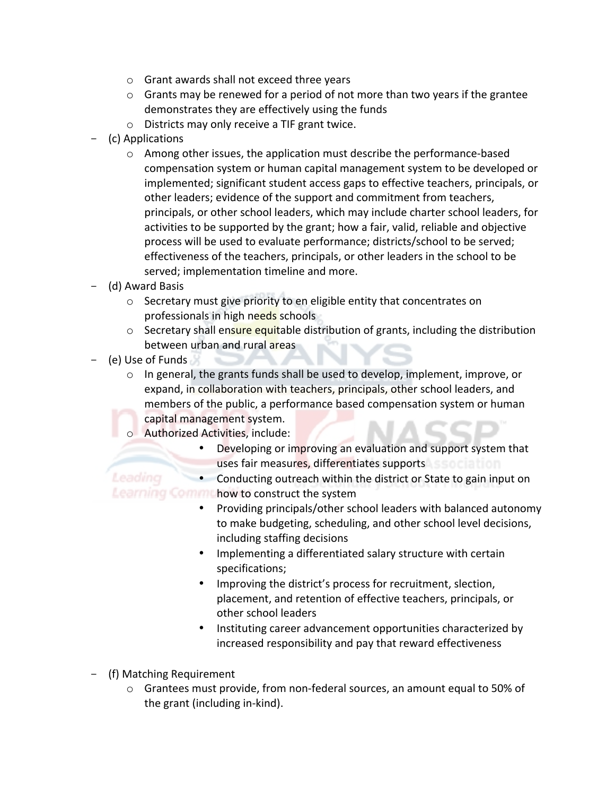- $\circ$  Grant awards shall not exceed three years
- $\circ$  Grants may be renewed for a period of not more than two years if the grantee demonstrates they are effectively using the funds
- $\circ$  Districts may only receive a TIF grant twice.
- (c) Applications
	- $\circ$  Among other issues, the application must describe the performance-based compensation system or human capital management system to be developed or implemented; significant student access gaps to effective teachers, principals, or other leaders; evidence of the support and commitment from teachers, principals, or other school leaders, which may include charter school leaders, for activities to be supported by the grant; how a fair, valid, reliable and objective process will be used to evaluate performance; districts/school to be served; effectiveness of the teachers, principals, or other leaders in the school to be served; implementation timeline and more.
- (d) Award Basis
	- $\circ$  Secretary must give priority to en eligible entity that concentrates on professionals in high needs schools
	- $\circ$  Secretary shall ensure equitable distribution of grants, including the distribution between urban and rural areas
- $-$  (e) Use of Funds
	- o In general, the grants funds shall be used to develop, implement, improve, or expand, in collaboration with teachers, principals, other school leaders, and members of the public, a performance based compensation system or human capital management system.
	- o Authorized Activities, include:

**COL** 

• Developing or improving an evaluation and support system that uses fair measures, differentiates supports

Leading • Conducting outreach within the district or State to gain input on Learning Comm how to construct the system

- Providing principals/other school leaders with balanced autonomy to make budgeting, scheduling, and other school level decisions, including staffing decisions
- Implementing a differentiated salary structure with certain specifications;
- Improving the district's process for recruitment, slection, placement, and retention of effective teachers, principals, or other school leaders
- Instituting career advancement opportunities characterized by increased responsibility and pay that reward effectiveness
- (f) Matching Requirement
	- $\circ$  Grantees must provide, from non-federal sources, an amount equal to 50% of the grant (including in-kind).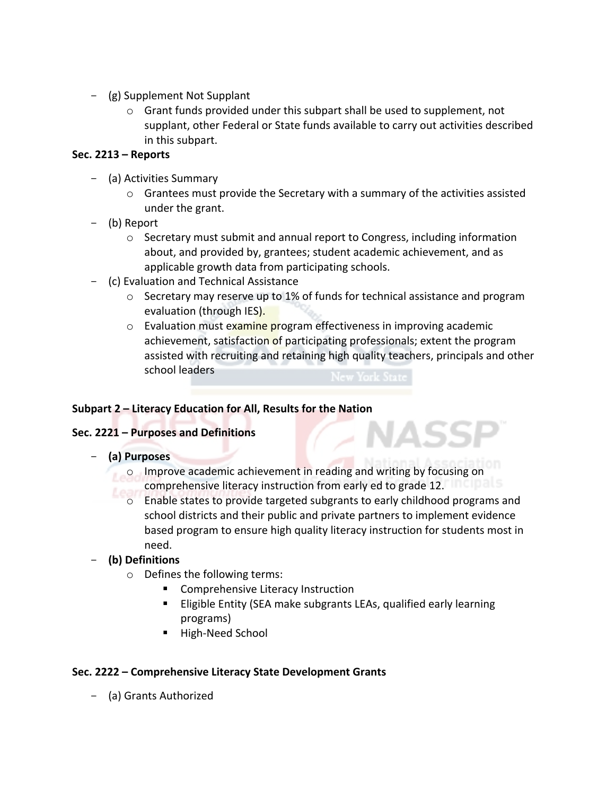- $-$  (g) Supplement Not Supplant
	- $\circ$  Grant funds provided under this subpart shall be used to supplement, not supplant, other Federal or State funds available to carry out activities described in this subpart.

### **Sec. 2213 – Reports**

- (a) Activities Summary
	- $\circ$  Grantees must provide the Secretary with a summary of the activities assisted under the grant.
- (b) Report
	- o Secretary must submit and annual report to Congress, including information about, and provided by, grantees; student academic achievement, and as applicable growth data from participating schools.
- (c) Evaluation and Technical Assistance
	- $\circ$  Secretary may reserve up to 1% of funds for technical assistance and program evaluation (through IES).
	- o Evaluation must examine program effectiveness in improving academic achievement, satisfaction of participating professionals; extent the program assisted with recruiting and retaining high quality teachers, principals and other school leaders

Z NASSF

#### Subpart 2 – Literacy Education for All, Results for the Nation

#### **Sec. 2221 – Purposes and Definitions**

- **(a) Purposes**
	- o Improve academic achievement in reading and writing by focusing on comprehensive literacy instruction from early ed to grade 12.
	- $\circ$  Enable states to provide targeted subgrants to early childhood programs and school districts and their public and private partners to implement evidence based program to ensure high quality literacy instruction for students most in need.

# - **(b) Definitions**

- $\circ$  Defines the following terms:
	- Comprehensive Literacy Instruction
	- **Eligible Entity (SEA make subgrants LEAs, qualified early learning** programs)
	- **E** High-Need School

#### Sec. 2222 – Comprehensive Literacy State Development Grants

- (a) Grants Authorized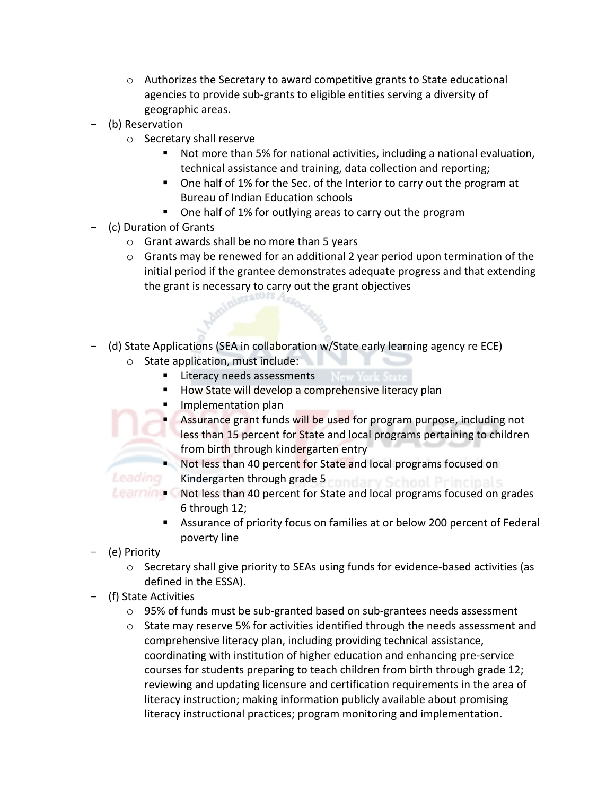- $\circ$  Authorizes the Secretary to award competitive grants to State educational agencies to provide sub-grants to eligible entities serving a diversity of geographic areas.
- (b) Reservation
	- $\circ$  Secretary shall reserve
		- Not more than 5% for national activities, including a national evaluation, technical assistance and training, data collection and reporting;
		- One half of 1% for the Sec. of the Interior to carry out the program at Bureau of Indian Education schools
		- One half of 1% for outlying areas to carry out the program
- (c) Duration of Grants
	- $\circ$  Grant awards shall be no more than 5 years
	- $\circ$  Grants may be renewed for an additional 2 year period upon termination of the initial period if the grantee demonstrates adequate progress and that extending the grant is necessary to carry out the grant objectives<br>
	also carry out the grant objectives
- (d) State Applications (SEA in collaboration w/State early learning agency re ECE)
	- $\circ$  State application, must include:
		- Literacy needs assessments
		- How State will develop a comprehensive literacy plan
		- Implementation plan
			- Assurance grant funds will be used for program purpose, including not less than 15 percent for State and local programs pertaining to children from birth through kindergarten entry
		- lacktriangless than 40 percent for State and local programs focused on Kindergarten through grade 5

Leading

- Learning C Not less than 40 percent for State and local programs focused on grades 6 through 12;
	- **E** Assurance of priority focus on families at or below 200 percent of Federal poverty line
- (e) Priority
	- $\circ$  Secretary shall give priority to SEAs using funds for evidence-based activities (as defined in the ESSA).
- (f) State Activities
	- $\circ$  95% of funds must be sub-granted based on sub-grantees needs assessment
	- $\circ$  State may reserve 5% for activities identified through the needs assessment and comprehensive literacy plan, including providing technical assistance, coordinating with institution of higher education and enhancing pre-service courses for students preparing to teach children from birth through grade 12; reviewing and updating licensure and certification requirements in the area of literacy instruction; making information publicly available about promising literacy instructional practices; program monitoring and implementation.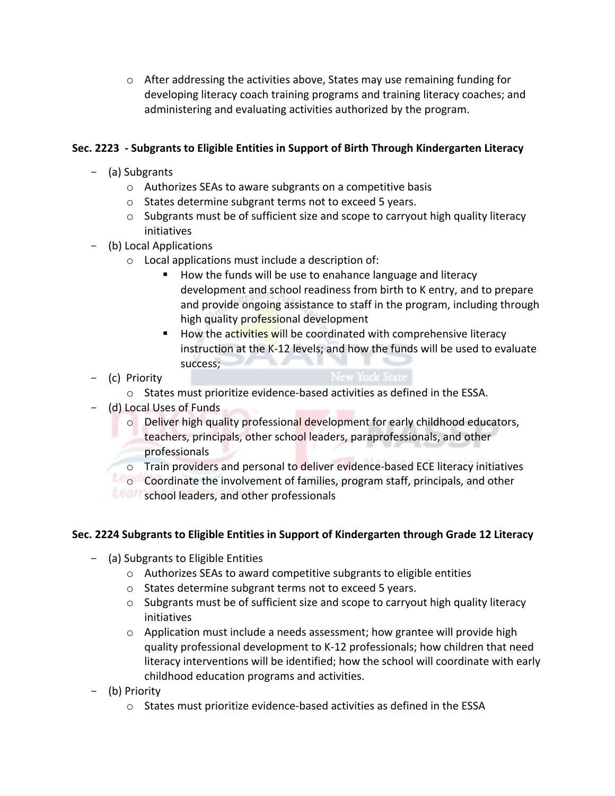$\circ$  After addressing the activities above, States may use remaining funding for developing literacy coach training programs and training literacy coaches; and administering and evaluating activities authorized by the program.

# Sec. 2223 - Subgrants to Eligible Entities in Support of Birth Through Kindergarten Literacy

- (a) Subgrants
	- $\circ$  Authorizes SEAs to aware subgrants on a competitive basis
	- $\circ$  States determine subgrant terms not to exceed 5 years.
	- $\circ$  Subgrants must be of sufficient size and scope to carryout high quality literacy initiatives
- (b) Local Applications
	- $\circ$  Local applications must include a description of:
		- How the funds will be use to enahance language and literacy development and school readiness from birth to K entry, and to prepare and provide ongoing assistance to staff in the program, including through high quality professional development
		- **E** How the activities will be coordinated with comprehensive literacy instruction at the  $K-12$  levels; and how the funds will be used to evaluate success;
- (c) Priority
	- $\circ$  States must prioritize evidence-based activities as defined in the ESSA.
- (d) Local Uses of Funds
	- $\circ$  Deliver high quality professional development for early childhood educators, teachers, principals, other school leaders, paraprofessionals, and other professionals
	- $\circ$  Train providers and personal to deliver evidence-based ECE literacy initiatives
	- $\Box$  Coordinate the involvement of families, program staff, principals, and other
	- school leaders, and other professionals

# Sec. 2224 Subgrants to Eligible Entities in Support of Kindergarten through Grade 12 Literacy

- (a) Subgrants to Eligible Entities
	- $\circ$  Authorizes SEAs to award competitive subgrants to eligible entities
	- $\circ$  States determine subgrant terms not to exceed 5 years.
	- $\circ$  Subgrants must be of sufficient size and scope to carryout high quality literacy initiatives
	- $\circ$  Application must include a needs assessment; how grantee will provide high quality professional development to K-12 professionals; how children that need literacy interventions will be identified; how the school will coordinate with early childhood education programs and activities.
- (b) Priority
	- $\circ$  States must prioritize evidence-based activities as defined in the ESSA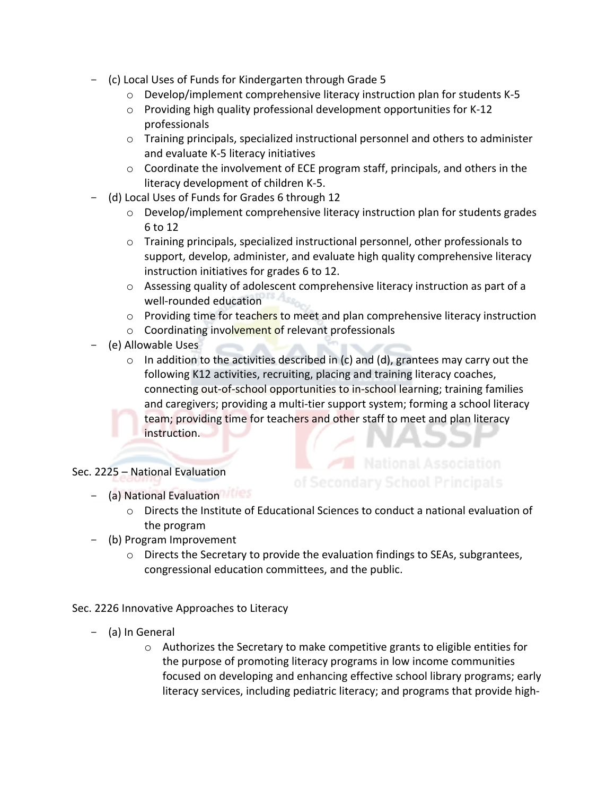- (c) Local Uses of Funds for Kindergarten through Grade 5
	- $\circ$  Develop/implement comprehensive literacy instruction plan for students K-5
	- $\circ$  Providing high quality professional development opportunities for K-12 professionals
	- $\circ$  Training principals, specialized instructional personnel and others to administer and evaluate K-5 literacy initiatives
	- $\circ$  Coordinate the involvement of ECE program staff, principals, and others in the literacy development of children K-5.
- (d) Local Uses of Funds for Grades 6 through 12
	- $\circ$  Develop/implement comprehensive literacy instruction plan for students grades 6 to 12
	- $\circ$  Training principals, specialized instructional personnel, other professionals to support, develop, administer, and evaluate high quality comprehensive literacy instruction initiatives for grades 6 to 12.
	- $\circ$  Assessing quality of adolescent comprehensive literacy instruction as part of a well-rounded education
	- $\circ$  Providing time for teachers to meet and plan comprehensive literacy instruction
	- $\circ$  Coordinating involvement of relevant professionals
- (e) Allowable Uses
	- $\circ$  In addition to the activities described in (c) and (d), grantees may carry out the following K12 activities, recruiting, placing and training literacy coaches, connecting out-of-school opportunities to in-school learning; training families and caregivers; providing a multi-tier support system; forming a school literacy team; providing time for teachers and other staff to meet and plan literacy instruction. Z NASSI

#### Sec. 2225 - National Evaluation

- (a) National Evaluation
	- $\circ$  Directs the Institute of Educational Sciences to conduct a national evaluation of the program
- (b) Program Improvement
	- $\circ$  Directs the Secretary to provide the evaluation findings to SEAs, subgrantees, congressional education committees, and the public.

Sec. 2226 Innovative Approaches to Literacy

- (a) In General
	- $\circ$  Authorizes the Secretary to make competitive grants to eligible entities for the purpose of promoting literacy programs in low income communities focused on developing and enhancing effective school library programs; early literacy services, including pediatric literacy; and programs that provide high-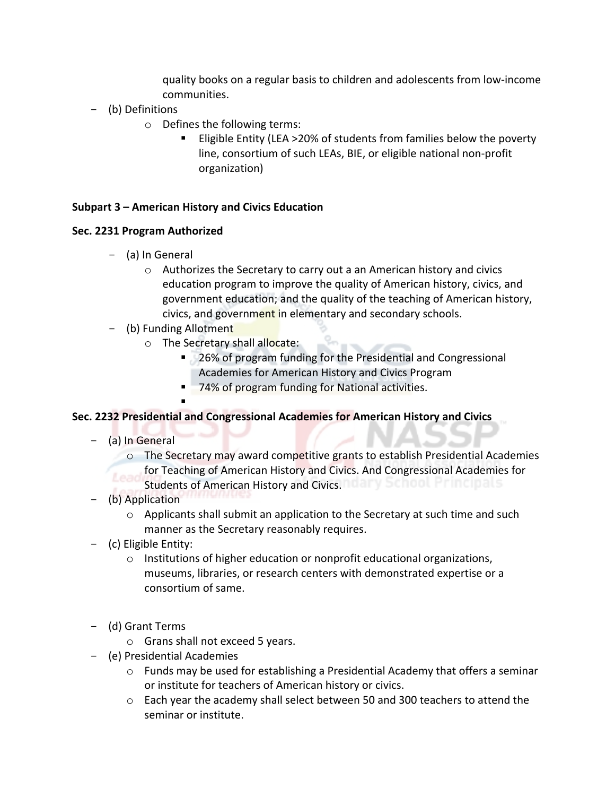quality books on a regular basis to children and adolescents from low-income communities. 

- (b) Definitions
	- $\circ$  Defines the following terms:
		- Eligible Entity (LEA >20% of students from families below the poverty line, consortium of such LEAs, BIE, or eligible national non-profit organization)

#### **Subpart 3 – American History and Civics Education**

#### **Sec. 2231 Program Authorized**

- (a) In General
	- $\circ$  Authorizes the Secretary to carry out a an American history and civics education program to improve the quality of American history, civics, and government education; and the quality of the teaching of American history, civics, and government in elementary and secondary schools.
- (b) Funding Allotment

!

- o The Secretary shall allocate:
	- 26% of program funding for the Presidential and Congressional Academies for American History and Civics Program
	- 74% of program funding for National activities.

#### **Sec. 2232 Presidential and Congressional Academies for American History and Civics**

- (a) In General
	- $\circ$  The Secretary may award competitive grants to establish Presidential Academies for Teaching of American History and Civics. And Congressional Academies for Students of American History and Civics. The Third Children History and Civics.
- (b) Application
	- $\circ$  Applicants shall submit an application to the Secretary at such time and such manner as the Secretary reasonably requires.
- (c) Eligible Entity:
	- $\circ$  Institutions of higher education or nonprofit educational organizations, museums, libraries, or research centers with demonstrated expertise or a consortium of same.
- (d) Grant Terms
	- $\circ$  Grans shall not exceed 5 years.
- (e) Presidential Academies
	- $\circ$  Funds may be used for establishing a Presidential Academy that offers a seminar or institute for teachers of American history or civics.
	- $\circ$  Each year the academy shall select between 50 and 300 teachers to attend the seminar or institute.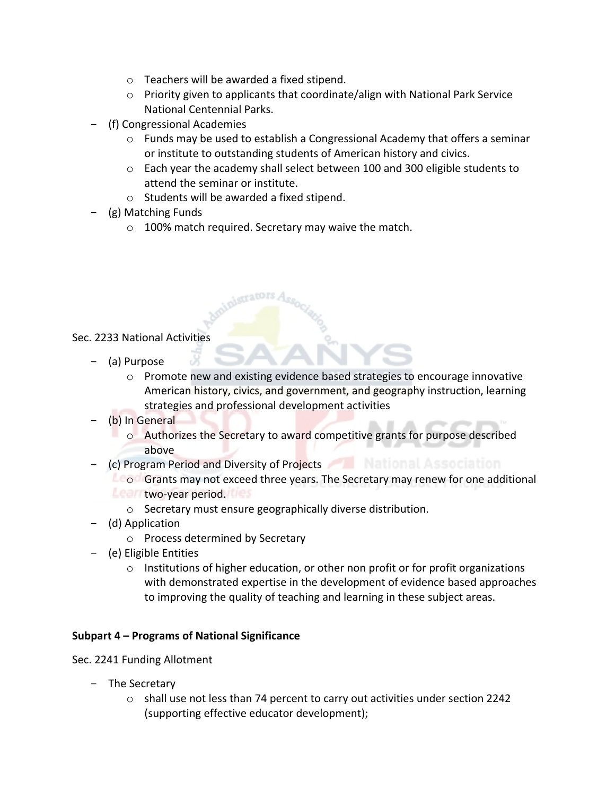- $\circ$  Teachers will be awarded a fixed stipend.
- $\circ$  Priority given to applicants that coordinate/align with National Park Service National Centennial Parks.
- (f) Congressional Academies
	- $\circ$  Funds may be used to establish a Congressional Academy that offers a seminar or institute to outstanding students of American history and civics.
	- o Each year the academy shall select between 100 and 300 eligible students to attend the seminar or institute.
	- $\circ$  Students will be awarded a fixed stipend.
- $-$  (g) Matching Funds
	- $\circ$  100% match required. Secretary may waive the match.

#### Sec. 2233 National Activities

- (a) Purpose
	- $\circ$  Promote new and existing evidence based strategies to encourage innovative American history, civics, and government, and geography instruction, learning strategies and professional development activities
- (b) In General
	- $\circ$  Authorizes the Secretary to award competitive grants for purpose described above
- (c) Program Period and Diversity of Projects **All Automal Association** 
	- **France Grants may not exceed three years. The Secretary may renew for one additional two-year period.** 
		- o Secretary must ensure geographically diverse distribution.
- (d) Application
	- o Process determined by Secretary
- (e) Eligible Entities
	- $\circ$  Institutions of higher education, or other non profit or for profit organizations with demonstrated expertise in the development of evidence based approaches to improving the quality of teaching and learning in these subject areas.

#### **Subpart 4 – Programs of National Significance**

Sec. 2241 Funding Allotment

- The Secretary
	- $\circ$  shall use not less than 74 percent to carry out activities under section 2242 (supporting effective educator development);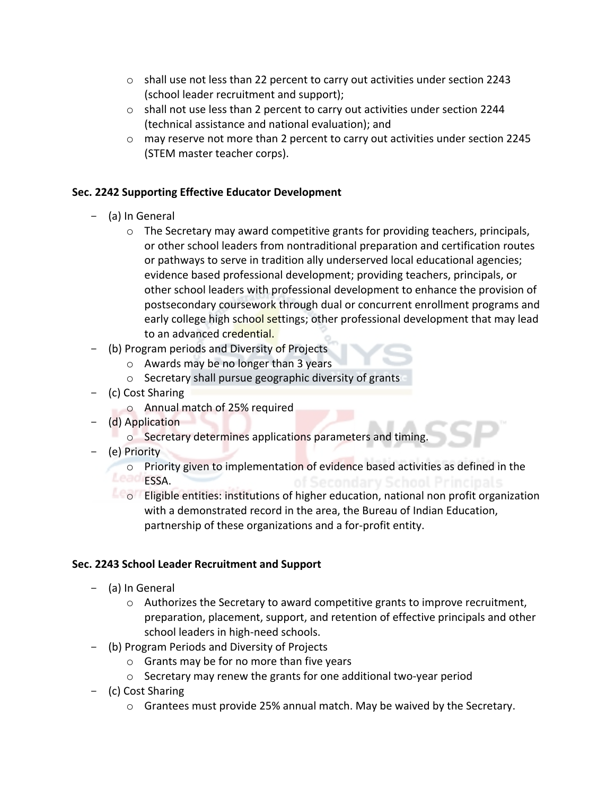- $\circ$  shall use not less than 22 percent to carry out activities under section 2243 (school leader recruitment and support);
- $\circ$  shall not use less than 2 percent to carry out activities under section 2244 (technical assistance and national evaluation); and
- $\circ$  may reserve not more than 2 percent to carry out activities under section 2245 (STEM master teacher corps).

# **Sec. 2242 Supporting Effective Educator Development**

- (a) In General
	- $\circ$  The Secretary may award competitive grants for providing teachers, principals, or other school leaders from nontraditional preparation and certification routes or pathways to serve in tradition ally underserved local educational agencies; evidence based professional development; providing teachers, principals, or other school leaders with professional development to enhance the provision of postsecondary coursework through dual or concurrent enrollment programs and early college high school settings; other professional development that may lead to an advanced credential.
- (b) Program periods and Diversity of Projects
	- $\circ$  Awards may be no longer than 3 years
	- $\circ$  Secretary shall pursue geographic diversity of grants
- (c) Cost Sharing
	- o Annual match of 25% required
- (d) Application
	- $\circ$  Secretary determines applications parameters and timing.
- (e) Priority
	- $\circ$  Priority given to implementation of evidence based activities as defined in the ESSA.
	- **LEOF** Eligible entities: institutions of higher education, national non profit organization with a demonstrated record in the area, the Bureau of Indian Education, partnership of these organizations and a for-profit entity.

# **Sec. 2243 School Leader Recruitment and Support**

- (a) In General
	- $\circ$  Authorizes the Secretary to award competitive grants to improve recruitment, preparation, placement, support, and retention of effective principals and other school leaders in high-need schools.
- (b) Program Periods and Diversity of Projects
	- $\circ$  Grants may be for no more than five years
	- $\circ$  Secretary may renew the grants for one additional two-year period
- (c) Cost Sharing
	- $\circ$  Grantees must provide 25% annual match. May be waived by the Secretary.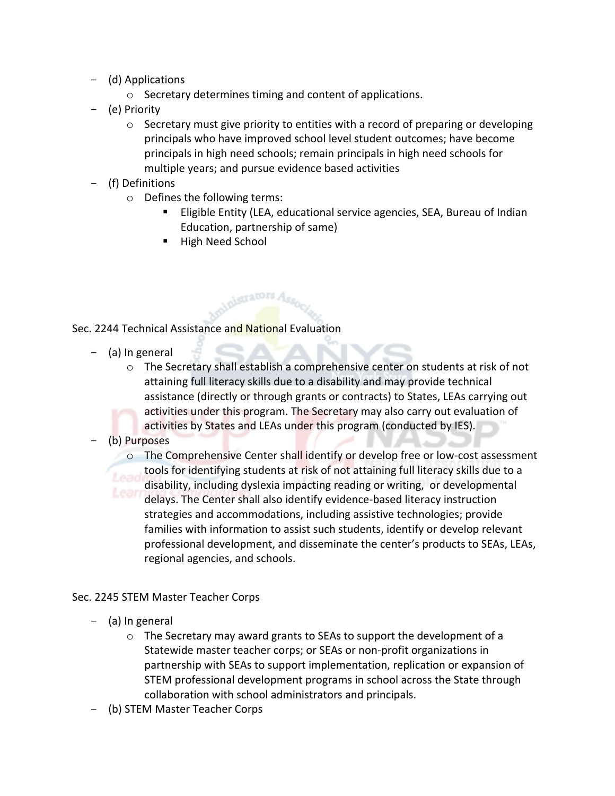- (d) Applications
	- $\circ$  Secretary determines timing and content of applications.

olegrators Ass

- (e) Priority
	- $\circ$  Secretary must give priority to entities with a record of preparing or developing principals who have improved school level student outcomes; have become principals in high need schools; remain principals in high need schools for multiple years; and pursue evidence based activities
- (f) Definitions
	- $\circ$  Defines the following terms:
		- **Eligible Entity (LEA, educational service agencies, SEA, Bureau of Indian** Education, partnership of same)
		- **E** High Need School

#### Sec. 2244 Technical Assistance and National Evaluation

- $-$  (a) In general
	- $\circ$  The Secretary shall establish a comprehensive center on students at risk of not attaining full literacy skills due to a disability and may provide technical assistance (directly or through grants or contracts) to States, LEAs carrying out activities under this program. The Secretary may also carry out evaluation of activities by States and LEAs under this program (conducted by IES).
- (b) Purposes
	- $\circ$  The Comprehensive Center shall identify or develop free or low-cost assessment tools for identifying students at risk of not attaining full literacy skills due to a disability, including dyslexia impacting reading or writing, or developmental delays. The Center shall also identify evidence-based literacy instruction strategies and accommodations, including assistive technologies; provide families with information to assist such students, identify or develop relevant professional development, and disseminate the center's products to SEAs, LEAs, regional agencies, and schools.

#### Sec. 2245 STEM Master Teacher Corps

- (a) In general
	- $\circ$  The Secretary may award grants to SEAs to support the development of a Statewide master teacher corps; or SEAs or non-profit organizations in partnership with SEAs to support implementation, replication or expansion of STEM professional development programs in school across the State through collaboration with school administrators and principals.
- (b) STEM Master Teacher Corps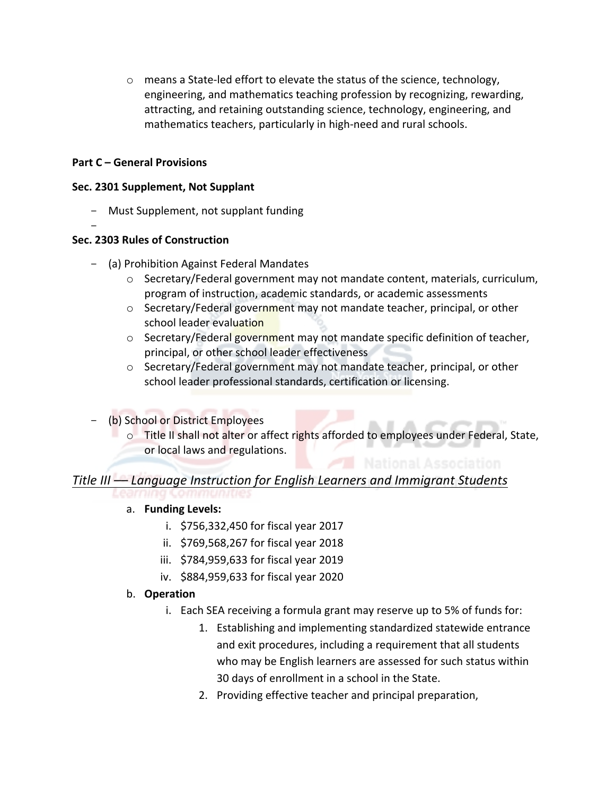$\circ$  means a State-led effort to elevate the status of the science, technology, engineering, and mathematics teaching profession by recognizing, rewarding, attracting, and retaining outstanding science, technology, engineering, and mathematics teachers, particularly in high-need and rural schools.

#### **Part C** – General Provisions

#### **Sec. 2301 Supplement, Not Supplant**

- Must Supplement, not supplant funding
- -

#### **Sec. 2303 Rules of Construction**

- (a) Prohibition Against Federal Mandates
	- $\circ$  Secretary/Federal government may not mandate content, materials, curriculum, program of instruction, academic standards, or academic assessments
	- $\circ$  Secretary/Federal government may not mandate teacher, principal, or other school leader evaluation
	- $\circ$  Secretary/Federal government may not mandate specific definition of teacher, principal, or other school leader effectiveness
	- $\circ$  Secretary/Federal government may not mandate teacher, principal, or other school leader professional standards, certification or licensing.
- (b) School or District Employees
	- o Title II shall not alter or affect rights afforded to employees under Federal, State, or local laws and regulations.

# *Title III* — *Language Instruction for English Learners and Immigrant Students*

# a. **Funding Levels:**

- i.  $$756,332,450$  for fiscal year 2017
- ii. \$769,568,267 for fiscal year 2018
- iii. \$784,959,633 for fiscal year 2019
- iv. \$884,959,633 for fiscal year 2020

# b. **Operation**

- i. Each SEA receiving a formula grant may reserve up to 5% of funds for:
	- 1. Establishing and implementing standardized statewide entrance and exit procedures, including a requirement that all students who may be English learners are assessed for such status within 30 days of enrollment in a school in the State.
	- 2. Providing effective teacher and principal preparation,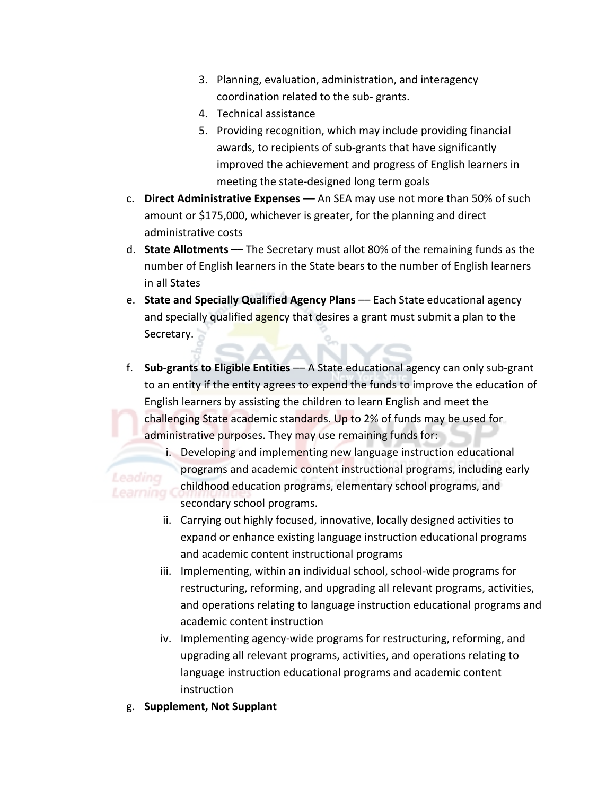- 3. Planning, evaluation, administration, and interagency coordination related to the sub- grants.
- 4. Technical assistance
- 5. Providing recognition, which may include providing financial awards, to recipients of sub-grants that have significantly improved the achievement and progress of English learners in meeting the state-designed long term goals
- c. **Direct Administrative Expenses** An SEA may use not more than 50% of such amount or \$175,000, whichever is greater, for the planning and direct administrative costs
- d. **State Allotments** The Secretary must allot 80% of the remaining funds as the number of English learners in the State bears to the number of English learners in all States
- e. **State and Specially Qualified Agency Plans** Each State educational agency and specially qualified agency that desires a grant must submit a plan to the Secretary.
- f. **Sub-grants to Eligible Entities** A State educational agency can only sub-grant to an entity if the entity agrees to expend the funds to improve the education of English learners by assisting the children to learn English and meet the challenging State academic standards. Up to 2% of funds may be used for administrative purposes. They may use remaining funds for:
- i. Developing and implementing new language instruction educational programs and academic content instructional programs, including early childhood education programs, elementary school programs, and Learning C secondary school programs.
	- ii. Carrying out highly focused, innovative, locally designed activities to expand or enhance existing language instruction educational programs and academic content instructional programs
	- iii. Implementing, within an individual school, school-wide programs for restructuring, reforming, and upgrading all relevant programs, activities, and operations relating to language instruction educational programs and academic content instruction
	- iv. Implementing agency-wide programs for restructuring, reforming, and upgrading all relevant programs, activities, and operations relating to language instruction educational programs and academic content instruction
	- g. **Supplement, Not Supplant**

Leading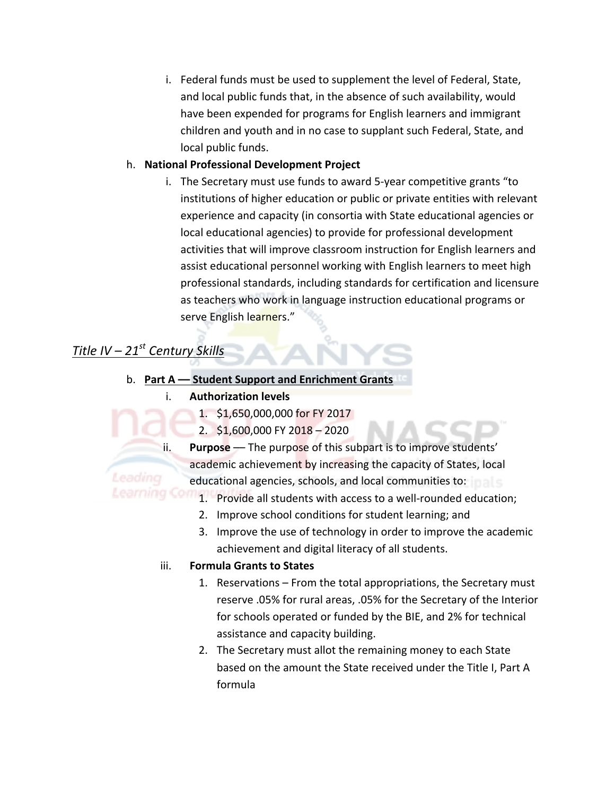i. Federal funds must be used to supplement the level of Federal, State, and local public funds that, in the absence of such availability, would have been expended for programs for English learners and immigrant children and youth and in no case to supplant such Federal, State, and local public funds.

# h. National Professional Development Project

i. The Secretary must use funds to award 5-year competitive grants "to institutions of higher education or public or private entities with relevant experience and capacity (in consortia with State educational agencies or local educational agencies) to provide for professional development activities that will improve classroom instruction for English learners and assist educational personnel working with English learners to meet high professional standards, including standards for certification and licensure as teachers who work in language instruction educational programs or serve English learners."

# *Title IV – 21st Century Skills*

Leading

Learning Con

- b. **Part A** Student Support and Enrichment Grants
	- **i.** Authorization levels
		- 1. \$1,650,000,000 for FY 2017
		- 2.  $$1,600,000$  FY  $2018 2020$
		- ii. **Purpose** –– The purpose of this subpart is to improve students' academic achievement by increasing the capacity of States, local educational agencies, schools, and local communities to: **Figure** 
			- 1. Provide all students with access to a well-rounded education;
			- 2. Improve school conditions for student learning; and
			- 3. Improve the use of technology in order to improve the academic achievement and digital literacy of all students.

#### iii. Formula Grants to States

- 1. Reservations From the total appropriations, the Secretary must reserve .05% for rural areas, .05% for the Secretary of the Interior for schools operated or funded by the BIE, and 2% for technical assistance and capacity building.
- 2. The Secretary must allot the remaining money to each State based on the amount the State received under the Title I, Part A formula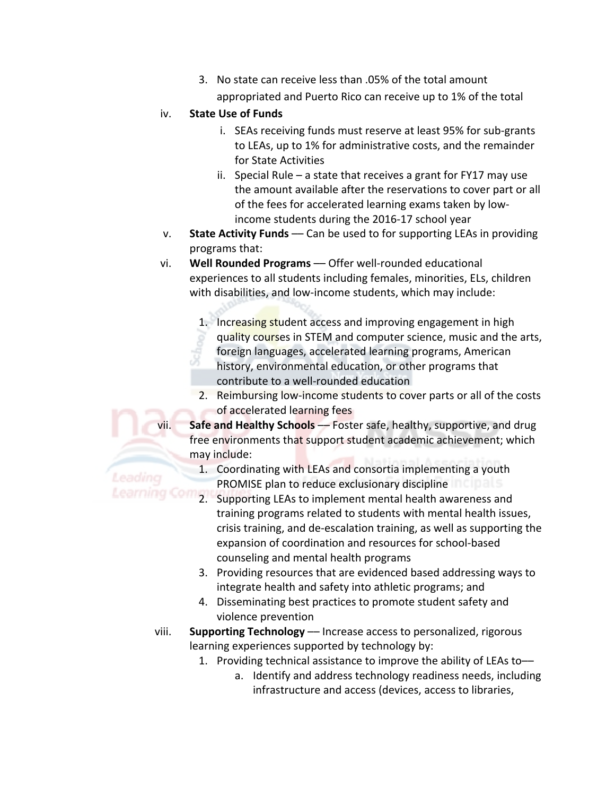3. No state can receive less than .05% of the total amount appropriated and Puerto Rico can receive up to 1% of the total

# iv. State Use of Funds

Leading

Learning Con

- i. SEAs receiving funds must reserve at least 95% for sub-grants to LEAs, up to 1% for administrative costs, and the remainder for State Activities
- ii. Special Rule  $-$  a state that receives a grant for FY17 may use the amount available after the reservations to cover part or all of the fees for accelerated learning exams taken by lowincome students during the 2016-17 school year
- v. **State Activity Funds** Can be used to for supporting LEAs in providing programs that:
- vi. **Well Rounded Programs** Offer well-rounded educational experiences to all students including females, minorities, ELs, children with disabilities, and low-income students, which may include:
	- 1. Increasing student access and improving engagement in high quality courses in STEM and computer science, music and the arts, foreign languages, accelerated learning programs, American history, environmental education, or other programs that contribute to a well-rounded education
	- 2. Reimbursing low-income students to cover parts or all of the costs of accelerated learning fees
- vii. Safe and Healthy Schools –– Foster safe, healthy, supportive, and drug free environments that support student academic achievement; which may include:
	- 1. Coordinating with LEAs and consortia implementing a youth PROMISE plan to reduce exclusionary discipline
	- 2. Supporting LEAs to implement mental health awareness and training programs related to students with mental health issues, crisis training, and de-escalation training, as well as supporting the expansion of coordination and resources for school-based counseling and mental health programs
	- 3. Providing resources that are evidenced based addressing ways to integrate health and safety into athletic programs; and
	- 4. Disseminating best practices to promote student safety and violence prevention
- viii. **Supporting Technology** –– Increase access to personalized, rigorous learning experiences supported by technology by:
	- 1. Providing technical assistance to improve the ability of LEAs to-
		- a. Identify and address technology readiness needs, including infrastructure and access (devices, access to libraries,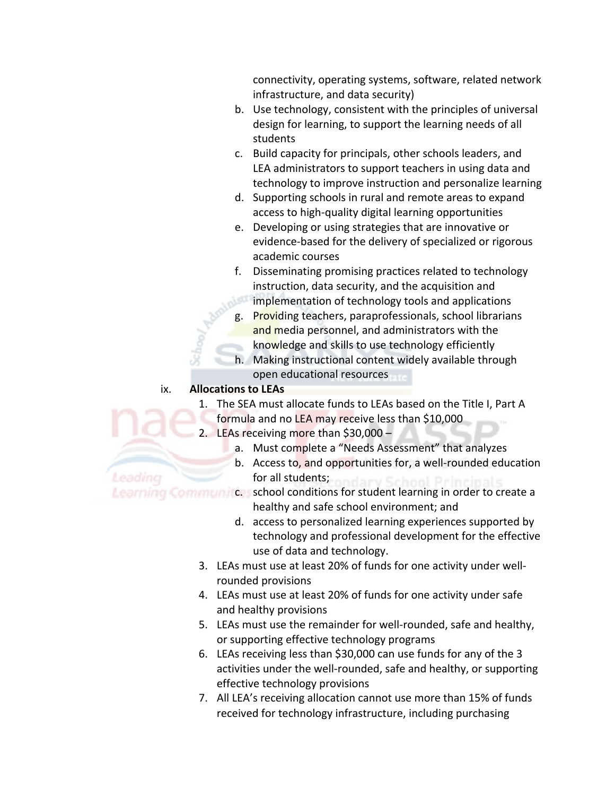connectivity, operating systems, software, related network infrastructure, and data security)

- b. Use technology, consistent with the principles of universal design for learning, to support the learning needs of all students
- c. Build capacity for principals, other schools leaders, and LEA administrators to support teachers in using data and technology to improve instruction and personalize learning
- d. Supporting schools in rural and remote areas to expand access to high-quality digital learning opportunities
- e. Developing or using strategies that are innovative or evidence-based for the delivery of specialized or rigorous academic courses
- f. Disseminating promising practices related to technology instruction, data security, and the acquisition and  $\blacksquare$  implementation of technology tools and applications
- g. Providing teachers, paraprofessionals, school librarians and media personnel, and administrators with the knowledge and skills to use technology efficiently
- h. Making instructional content widely available through open educational resources

# ix. **Allocations to LEAs**

Leading

- 1. The SEA must allocate funds to LEAs based on the Title I, Part A formula and no LEA may receive less than \$10,000
- 2. LEAs receiving more than  $$30,000$ 
	- a. Must complete a "Needs Assessment" that analyzes
	- b. Access to, and opportunities for, a well-rounded education for all students;

Learning Communics, school conditions for student learning in order to create a

- healthy and safe school environment; and
- d. access to personalized learning experiences supported by technology and professional development for the effective use of data and technology.
- 3. LEAs must use at least 20% of funds for one activity under wellrounded provisions
- 4. LEAs must use at least 20% of funds for one activity under safe and healthy provisions
- 5. LEAs must use the remainder for well-rounded, safe and healthy, or supporting effective technology programs
- 6. LEAs receiving less than \$30,000 can use funds for any of the 3 activities under the well-rounded, safe and healthy, or supporting effective technology provisions
- 7. All LEA's receiving allocation cannot use more than 15% of funds received for technology infrastructure, including purchasing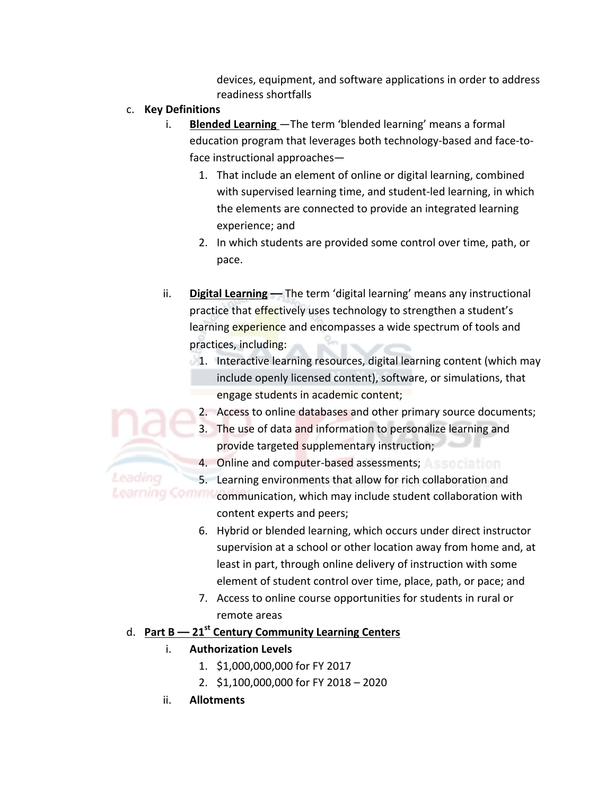devices, equipment, and software applications in order to address readiness shortfalls

c. **Key Definitions**

Leading

- i. **Blended Learning** The term 'blended learning' means a formal education program that leverages both technology-based and face-to $face$  instructional approaches—
	- 1. That include an element of online or digital learning, combined with supervised learning time, and student-led learning, in which the elements are connected to provide an integrated learning experience; and
	- 2. In which students are provided some control over time, path, or pace.
- ii. **Digital Learning** –– The term 'digital learning' means any instructional practice that effectively uses technology to strengthen a student's learning experience and encompasses a wide spectrum of tools and practices, including:
	- $1.$  Interactive learning resources, digital learning content (which may include openly licensed content), software, or simulations, that engage students in academic content;
		- 2. Access to online databases and other primary source documents;
		- 3. The use of data and information to personalize learning and provide targeted supplementary instruction;
		- 4. Online and computer-based assessments; Assertial final
		- 5. Learning environments that allow for rich collaboration and
- Learning Communication, which may include student collaboration with content experts and peers;
	- 6. Hybrid or blended learning, which occurs under direct instructor supervision at a school or other location away from home and, at least in part, through online delivery of instruction with some element of student control over time, place, path, or pace; and
	- 7. Access to online course opportunities for students in rural or remote areas

# d. Part B - 21<sup>st</sup> Century Community Learning Centers

# i. **Authorization Levels**

- 1. \$1,000,000,000 for FY 2017
- 2. \$1,100,000,000 for FY 2018 2020
- ii. **Allotments**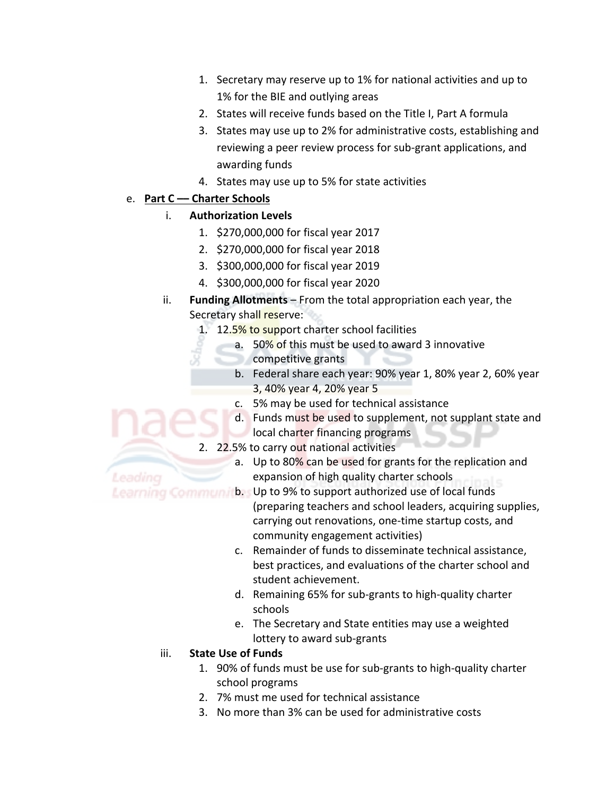- 1. Secretary may reserve up to 1% for national activities and up to 1% for the BIE and outlying areas
- 2. States will receive funds based on the Title I, Part A formula
- 3. States may use up to 2% for administrative costs, establishing and reviewing a peer review process for sub-grant applications, and awarding funds
- 4. States may use up to 5% for state activities

# e. **Part C –– Charter Schools**

Leadina

# **i.** Authorization Levels

- 1. \$270,000,000 for fiscal year 2017
- 2. \$270,000,000 for fiscal year 2018
- 3. \$300,000,000 for fiscal year 2019
- 4. \$300,000,000 for fiscal year 2020
- ii. **Funding Allotments** From the total appropriation each year, the Secretary shall reserve:
	- 1. 12.5% to support charter school facilities
		- a. 50% of this must be used to award 3 innovative
			- competitive grants
				- b. Federal share each year: 90% year 1, 80% year 2, 60% year 3, 40% year 4, 20% year 5
				- c. 5% may be used for technical assistance
				- d. Funds must be used to supplement, not supplant state and local charter financing programs
	- 2. 22.5% to carry out national activities
		- a. Up to 80% can be used for grants for the replication and expansion of high quality charter schools

Learning Communi b. Up to 9% to support authorized use of local funds

- (preparing teachers and school leaders, acquiring supplies, carrying out renovations, one-time startup costs, and community engagement activities)
- c. Remainder of funds to disseminate technical assistance, best practices, and evaluations of the charter school and student achievement.
- d. Remaining 65% for sub-grants to high-quality charter schools
- e. The Secretary and State entities may use a weighted lottery to award sub-grants

# iii. **State Use of Funds**

- 1. 90% of funds must be use for sub-grants to high-quality charter school programs
- 2. 7% must me used for technical assistance
- 3. No more than 3% can be used for administrative costs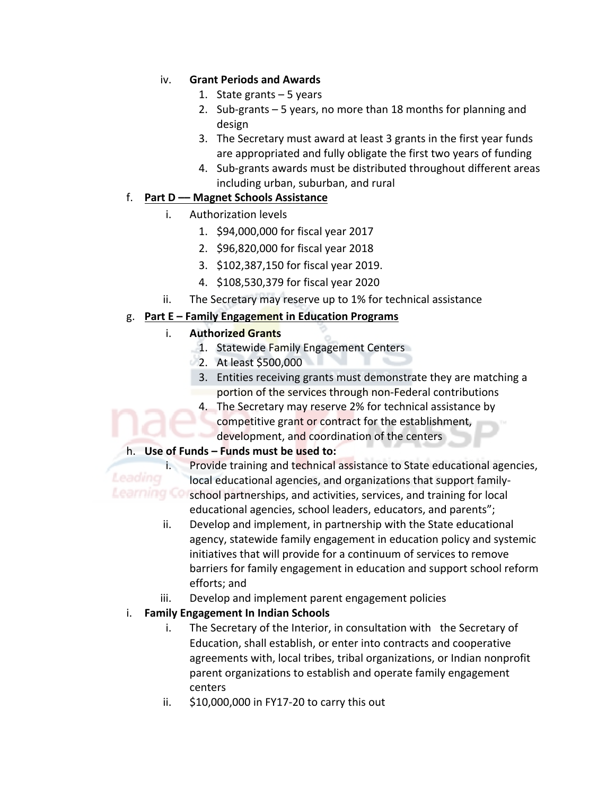# iv. **Grant Periods and Awards**

- 1. State grants  $-5$  years
- 2. Sub-grants  $-5$  years, no more than 18 months for planning and design
- 3. The Secretary must award at least 3 grants in the first year funds are appropriated and fully obligate the first two years of funding
- 4. Sub-grants awards must be distributed throughout different areas including urban, suburban, and rural

# f. **Part D –– Magnet Schools Assistance**

- i. Authorization levels
	- 1. \$94,000,000 for fiscal year 2017
	- 2. \$96,820,000 for fiscal year 2018
	- 3. \$102,387,150 for fiscal year 2019.
	- 4. \$108,530,379 for fiscal year 2020
- ii. The Secretary may reserve up to 1% for technical assistance

# g. **Part E** – **Family Engagement in Education Programs**

# i. **Authorized Grants**

- 1. Statewide Family Engagement Centers
- $2.$  At least \$500,000
- 3. Entities receiving grants must demonstrate they are matching a portion of the services through non-Federal contributions
- 4. The Secretary may reserve 2% for technical assistance by competitive grant or contract for the establishment, development, and coordination of the centers

# h. Use of Funds – Funds must be used to:

Leading

i. Provide training and technical assistance to State educational agencies, local educational agencies, and organizations that support family-Learning Co school partnerships, and activities, services, and training for local educational agencies, school leaders, educators, and parents";

- ii. Develop and implement, in partnership with the State educational agency, statewide family engagement in education policy and systemic initiatives that will provide for a continuum of services to remove barriers for family engagement in education and support school reform efforts; and
- iii. Develop and implement parent engagement policies

# **i.** Family Engagement In Indian Schools

- i. The Secretary of the Interior, in consultation with the Secretary of Education, shall establish, or enter into contracts and cooperative agreements with, local tribes, tribal organizations, or Indian nonprofit parent organizations to establish and operate family engagement centers
- ii.  $$10,000,000$  in FY17-20 to carry this out